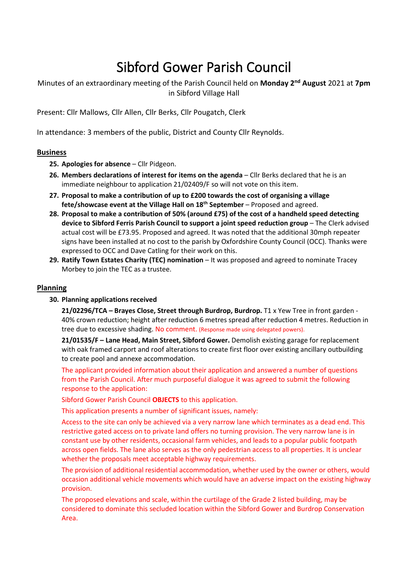# Sibford Gower Parish Council

Minutes of an extraordinary meeting of the Parish Council held on **Monday 2nd August** 2021 at **7pm** in Sibford Village Hall

Present: Cllr Mallows, Cllr Allen, Cllr Berks, Cllr Pougatch, Clerk

In attendance: 3 members of the public, District and County Cllr Reynolds.

# **Business**

- **25. Apologies for absence** Cllr Pidgeon.
- **26. Members declarations of interest for items on the agenda** Cllr Berks declared that he is an immediate neighbour to application 21/02409/F so will not vote on this item.
- **27. Proposal to make a contribution of up to £200 towards the cost of organising a village fete/showcase event at the Village Hall on 18th September** – Proposed and agreed.
- **28. Proposal to make a contribution of 50% (around £75) of the cost of a handheld speed detecting device to Sibford Ferris Parish Council to support a joint speed reduction group** – The Clerk advised actual cost will be £73.95. Proposed and agreed. It was noted that the additional 30mph repeater signs have been installed at no cost to the parish by Oxfordshire County Council (OCC). Thanks were expressed to OCC and Dave Catling for their work on this.
- **29. Ratify Town Estates Charity (TEC) nomination** It was proposed and agreed to nominate Tracey Morbey to join the TEC as a trustee.

# **Planning**

**30. Planning applications received**

**21/02296/TCA – Brayes Close, Street through Burdrop, Burdrop.** T1 x Yew Tree in front garden - 40% crown reduction; height after reduction 6 metres spread after reduction 4 metres. Reduction in tree due to excessive shading. No comment. (Response made using delegated powers).

**21/01535/F – Lane Head, Main Street, Sibford Gower.** Demolish existing garage for replacement with oak framed carport and roof alterations to create first floor over existing ancillary outbuilding to create pool and annexe accommodation.

The applicant provided information about their application and answered a number of questions from the Parish Council. After much purposeful dialogue it was agreed to submit the following response to the application:

Sibford Gower Parish Council **OBJECTS** to this application.

This application presents a number of significant issues, namely:

Access to the site can only be achieved via a very narrow lane which terminates as a dead end. This restrictive gated access on to private land offers no turning provision. The very narrow lane is in constant use by other residents, occasional farm vehicles, and leads to a popular public footpath across open fields. The lane also serves as the only pedestrian access to all properties. It is unclear whether the proposals meet acceptable highway requirements.

The provision of additional residential accommodation, whether used by the owner or others, would occasion additional vehicle movements which would have an adverse impact on the existing highway provision.

The proposed elevations and scale, within the curtilage of the Grade 2 listed building, may be considered to dominate this secluded location within the Sibford Gower and Burdrop Conservation Area.